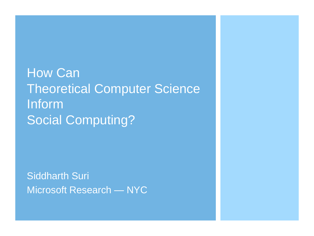**How Can** Theoretical Computer Science Inform Social Computing?

Siddharth Suri Microsoft Research — NYC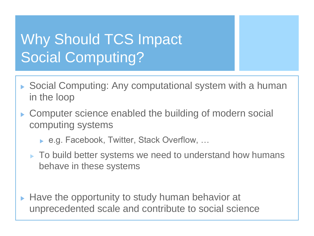## Why Should TCS Impact Social Computing?

- ▶ Social Computing: Any computational system with a human in the loop
- ▶ Computer science enabled the building of modern social computing systems
	- ▶ e.g. Facebook, Twitter, Stack Overflow, ...
	- ▶ To build better systems we need to understand how humans behave in these systems
- Have the opportunity to study human behavior at unprecedented scale and contribute to social science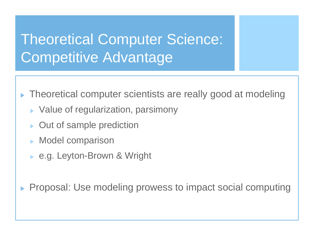## Theoretical Computer Science: Competitive Advantage

- Theoretical computer scientists are really good at modeling
	- ▶ Value of regularization, parsimony
	- ▶ Out of sample prediction
	- **Model comparison**
	- ► e.g. Leyton-Brown & Wright

Proposal: Use modeling prowess to impact social computing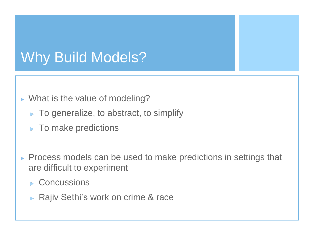#### Why Build Models?

- ▶ What is the value of modeling?
	- ▶ To generalize, to abstract, to simplify
	- $\blacktriangleright$  To make predictions
- **Process models can be used to make predictions in settings that** are difficult to experiment
	- ▶ Concussions
	- Rajiv Sethi's work on crime & race  $\blacktriangleright$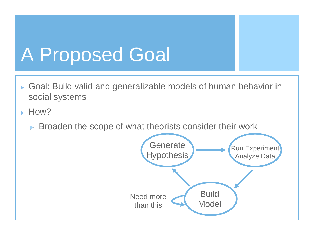# A Proposed Goal

- Goal: Build valid and generalizable models of human behavior in  $\blacktriangleright$  . social systems
- $\blacktriangleright$  How?
	- Broaden the scope of what theorists consider their work

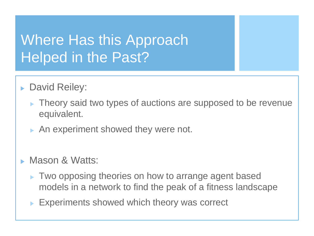### Where Has this Approach Helped in the Past?

- **David Reiley:** 
	- $\blacktriangleright$  Theory said two types of auctions are supposed to be revenue equivalent.
	- An experiment showed they were not.
- Mason & Watts:
	- ▶ Two opposing theories on how to arrange agent based models in a network to find the peak of a fitness landscape
	- Experiments showed which theory was correct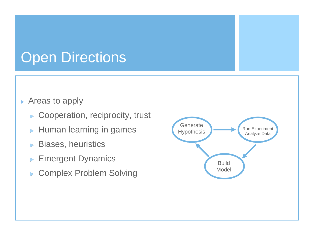### **Open Directions**

#### ▶ Areas to apply

- ▶ Cooperation, reciprocity, trust
- **Human learning in games**
- Biases, heuristics  $\blacktriangleright$
- Emergent Dynamics  $\blacktriangleright$
- ▶ Complex Problem Solving